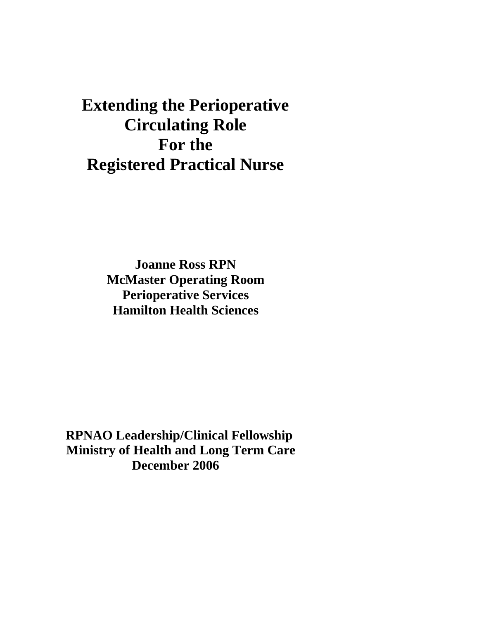# **Extending the Perioperative Circulating Role For the Registered Practical Nurse**

**Joanne Ross RPN McMaster Operating Room Perioperative Services Hamilton Health Sciences** 

 **RPNAO Leadership/Clinical Fellowship Ministry of Health and Long Term Care December 2006**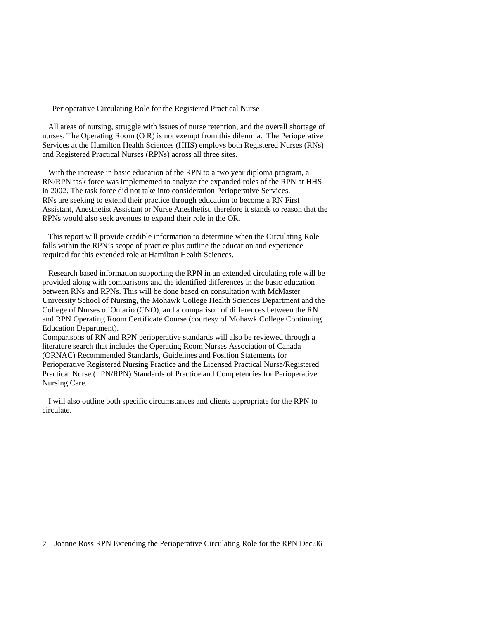Perioperative Circulating Role for the Registered Practical Nurse

 All areas of nursing, struggle with issues of nurse retention, and the overall shortage of nurses. The Operating Room (O R) is not exempt from this dilemma. The Perioperative Services at the Hamilton Health Sciences (HHS) employs both Registered Nurses (RNs) and Registered Practical Nurses (RPNs) across all three sites.

With the increase in basic education of the RPN to a two year diploma program, a RN/RPN task force was implemented to analyze the expanded roles of the RPN at HHS in 2002. The task force did not take into consideration Perioperative Services. RNs are seeking to extend their practice through education to become a RN First Assistant, Anesthetist Assistant or Nurse Anesthetist, therefore it stands to reason that the RPNs would also seek avenues to expand their role in the OR.

 This report will provide credible information to determine when the Circulating Role falls within the RPN's scope of practice plus outline the education and experience required for this extended role at Hamilton Health Sciences.

 Research based information supporting the RPN in an extended circulating role will be provided along with comparisons and the identified differences in the basic education between RNs and RPNs. This will be done based on consultation with McMaster University School of Nursing, the Mohawk College Health Sciences Department and the College of Nurses of Ontario (CNO), and a comparison of differences between the RN and RPN Operating Room Certificate Course (courtesy of Mohawk College Continuing Education Department).

Comparisons of RN and RPN perioperative standards will also be reviewed through a literature search that includes the Operating Room Nurses Association of Canada (ORNAC) Recommended Standards, Guidelines and Position Statements for Perioperative Registered Nursing Practice and the Licensed Practical Nurse/Registered Practical Nurse (LPN/RPN) Standards of Practice and Competencies for Perioperative Nursing Care*.* 

 I will also outline both specific circumstances and clients appropriate for the RPN to circulate.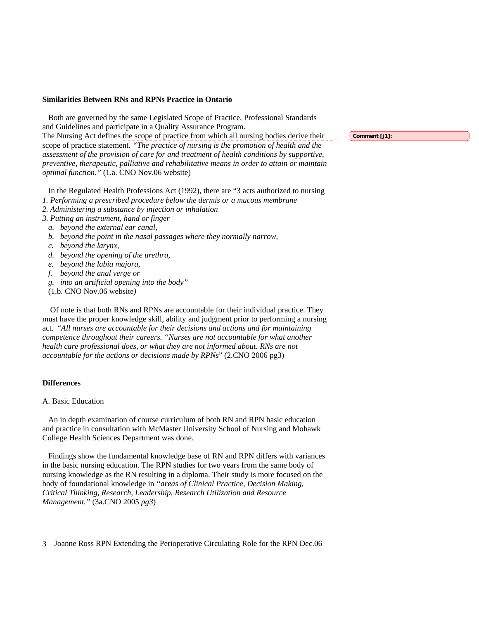### **Similarities Between RNs and RPNs Practice in Ontario**

 Both are governed by the same Legislated Scope of Practice, Professional Standards and Guidelines and participate in a Quality Assurance Program. The Nursing Act defines the scope of practice from which all nursing bodies derive their scope of practice statement*. "The practice of nursing is the promotion of health and the assessment of the provision of care for and treatment of health conditions by supportive, preventive, therapeutic, palliative and rehabilitative means in order to attain or maintain optimal function."* (1.a. CNO Nov.06 website)

In the Regulated Health Professions Act (1992), there are "3 acts authorized to nursing

- *1. Performing a prescribed procedure below the dermis or a mucous membrane*
- *2. Administering a substance by injection or inhalation*
- *3. Putting an instrument, hand or finger*
- *a. beyond the external ear canal,*
- *b. beyond the point in the nasal passages where they normally narrow,*
- *c. beyond the larynx,*
- *d. beyond the opening of the urethra,*
- *e. beyond the labia majora,*
- *f. beyond the anal verge or*
- *g. into an artificial opening into the body"*
- (1.b. CNO Nov.06 website*)*

 Of note is that both RNs and RPNs are accountable for their individual practice. They must have the proper knowledge skill, ability and judgment prior to performing a nursing act. "*All nurses are accountable for their decisions and actions and for maintaining competence throughout their careers. "Nurses are not accountable for what another health care professional does, or what they are not informed about. RNs are not accountable for the actions or decisions made by RPNs*" (2.CNO 2006 pg3)

# **Differences**

#### A. Basic Education

 An in depth examination of course curriculum of both RN and RPN basic education and practice in consultation with McMaster University School of Nursing and Mohawk College Health Sciences Department was done.

 Findings show the fundamental knowledge base of RN and RPN differs with variances in the basic nursing education. The RPN studies for two years from the same body of nursing knowledge as the RN resulting in a diploma. Their study is more focused on the body of foundational knowledge in *"areas of Clinical Practice, Decision Making, Critical Thinking, Research, Leadership, Research Utilization and Resource Management."* (3a.CNO 2005 *pg3*)

3 Joanne Ross RPN Extending the Perioperative Circulating Role for the RPN Dec.06

**Comment [j1]:**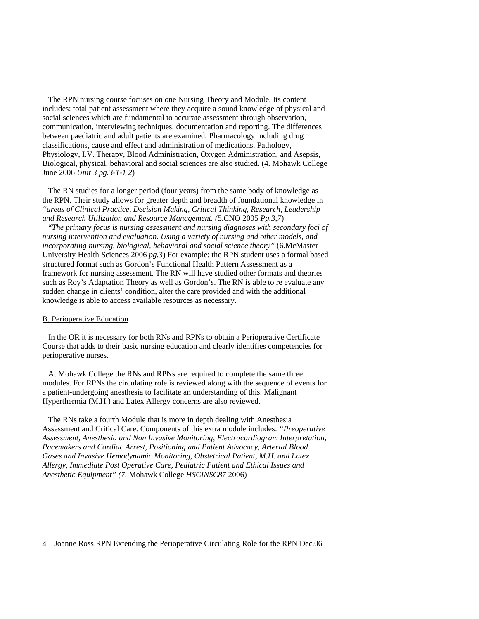The RPN nursing course focuses on one Nursing Theory and Module. Its content includes: total patient assessment where they acquire a sound knowledge of physical and social sciences which are fundamental to accurate assessment through observation, communication, interviewing techniques, documentation and reporting. The differences between paediatric and adult patients are examined. Pharmacology including drug classifications, cause and effect and administration of medications, Pathology, Physiology, I.V. Therapy, Blood Administration, Oxygen Administration, and Asepsis, Biological, physical, behavioral and social sciences are also studied. (4. Mohawk College June 2006 *Unit 3 pg.3-1-1 2*)

 The RN studies for a longer period (four years) from the same body of knowledge as the RPN. Their study allows for greater depth and breadth of foundational knowledge in *"areas of Clinical Practice, Decision Making, Critical Thinking, Research, Leadership and Research Utilization and Resource Management. (*5.CNO 2005 *Pg.3,7*)

 "*The primary focus is nursing assessment and nursing diagnoses with secondary foci of nursing intervention and evaluation. Using a variety of nursing and other models, and incorporating nursing, biological, behavioral and social science theory"* (6.McMaster University Health Sciences 2006 *pg.3*) For example: the RPN student uses a formal based structured format such as Gordon's Functional Health Pattern Assessment as a framework for nursing assessment. The RN will have studied other formats and theories such as Roy's Adaptation Theory as well as Gordon's. The RN is able to re evaluate any sudden change in clients' condition, alter the care provided and with the additional knowledge is able to access available resources as necessary.

#### B. Perioperative Education

 In the OR it is necessary for both RNs and RPNs to obtain a Perioperative Certificate Course that adds to their basic nursing education and clearly identifies competencies for perioperative nurses.

 At Mohawk College the RNs and RPNs are required to complete the same three modules. For RPNs the circulating role is reviewed along with the sequence of events for a patient-undergoing anesthesia to facilitate an understanding of this. Malignant Hyperthermia (M.H.) and Latex Allergy concerns are also reviewed.

 The RNs take a fourth Module that is more in depth dealing with Anesthesia Assessment and Critical Care*.* Components of this extra module includes: *"Preoperative Assessment, Anesthesia and Non Invasive Monitoring, Electrocardiogram Interpretation, Pacemakers and Cardiac Arrest, Positioning and Patient Advocacy, Arterial Blood Gases and Invasive Hemodynamic Monitoring, Obstetrical Patient, M.H. and Latex Allergy, Immediate Post Operative Care, Pediatric Patient and Ethical Issues and Anesthetic Equipment" (7.* Mohawk College *HSCINSC87* 2006)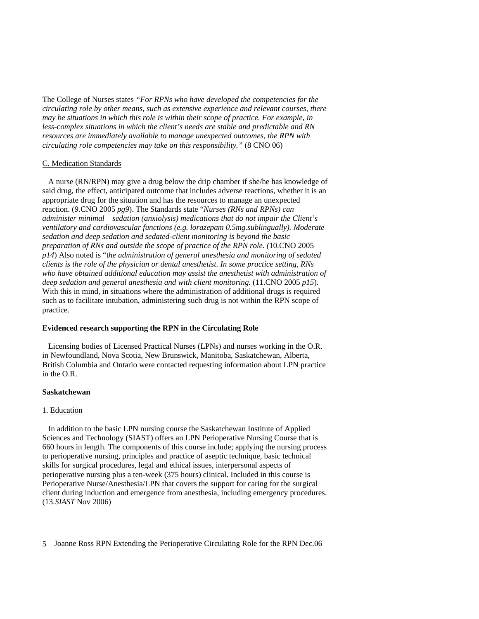The College of Nurses states *"For RPNs who have developed the competencies for the circulating role by other means, such as extensive experience and relevant courses, there may be situations in which this role is within their scope of practice. For example, in less-complex situations in which the client's needs are stable and predictable and RN resources are immediately available to manage unexpected outcomes, the RPN with circulating role competencies may take on this responsibility."* (8 CNO 06)

#### C. Medication Standards

 A nurse (RN/RPN) may give a drug below the drip chamber if she/he has knowledge of said drug, the effect, anticipated outcome that includes adverse reactions, whether it is an appropriate drug for the situation and has the resources to manage an unexpected reaction. (9.CNO 2005 *pg9*). The Standards state "*Nurses (RNs and RPNs) can administer minimal – sedation (anxiolysis) medications that do not impair the Client's ventilatory and cardiovascular functions (e.g. lorazepam 0.5mg.sublingually). Moderate sedation and deep sedation and sedated-client monitoring is beyond the basic preparation of RNs and outside the scope of practice of the RPN role. (*10.CNO 2005 *p14*) Also noted is "t*he administration of general anesthesia and monitoring of sedated clients is the role of the physician or dental anesthetist. In some practice setting, RNs who have obtained additional education may assist the anesthetist with administration of deep sedation and general anesthesia and with client monitoring.* (11.CNO 2005 *p15*). With this in mind, in situations where the administration of additional drugs is required such as to facilitate intubation, administering such drug is not within the RPN scope of practice.

#### **Evidenced research supporting the RPN in the Circulating Role**

 Licensing bodies of Licensed Practical Nurses (LPNs) and nurses working in the O.R. in Newfoundland, Nova Scotia, New Brunswick, Manitoba, Saskatchewan, Alberta, British Columbia and Ontario were contacted requesting information about LPN practice in the O.R.

# **Saskatchewan**

# 1. Education

 In addition to the basic LPN nursing course the Saskatchewan Institute of Applied Sciences and Technology (SIAST) offers an LPN Perioperative Nursing Course that is 660 hours in length. The components of this course include; applying the nursing process to perioperative nursing, principles and practice of aseptic technique, basic technical skills for surgical procedures, legal and ethical issues, interpersonal aspects of perioperative nursing plus a ten-week (375 hours) clinical. Included in this course is Perioperative Nurse/Anesthesia/LPN that covers the support for caring for the surgical client during induction and emergence from anesthesia, including emergency procedures. (13.*SIAST* Nov 2006)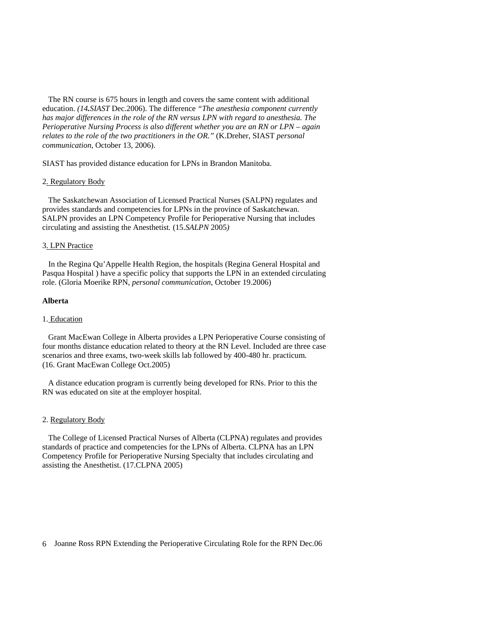The RN course is 675 hours in length and covers the same content with additional education. *(14.SIAST* Dec.2006). The difference *"The anesthesia component currently has major differences in the role of the RN versus LPN with regard to anesthesia. The Perioperative Nursing Process is also different whether you are an RN or LPN – again relates to the role of the two practitioners in the OR."* (K.Dreher, SIAST *personal communication*, October 13, 2006).

SIAST has provided distance education for LPNs in Brandon Manitoba.

#### 2. Regulatory Body

 The Saskatchewan Association of Licensed Practical Nurses (SALPN) regulates and provides standards and competencies for LPNs in the province of Saskatchewan. SALPN provides an LPN Competency Profile for Perioperative Nursing that includes circulating and assisting the Anesthetist*.* (15.*SALPN* 2005*)* 

#### 3. LPN Practice

 In the Regina Qu'Appelle Health Region, the hospitals (Regina General Hospital and Pasqua Hospital ) have a specific policy that supports the LPN in an extended circulating role. (Gloria Moerike RPN, *personal communication*, October 19.2006)

#### **Alberta**

#### 1. Education

 Grant MacEwan College in Alberta provides a LPN Perioperative Course consisting of four months distance education related to theory at the RN Level. Included are three case scenarios and three exams, two-week skills lab followed by 400-480 hr. practicum. (16. Grant MacEwan College Oct.2005)

 A distance education program is currently being developed for RNs. Prior to this the RN was educated on site at the employer hospital.

#### 2. Regulatory Body

 The College of Licensed Practical Nurses of Alberta (CLPNA) regulates and provides standards of practice and competencies for the LPNs of Alberta. CLPNA has an LPN Competency Profile for Perioperative Nursing Specialty that includes circulating and assisting the Anesthetist. (17.CLPNA 2005)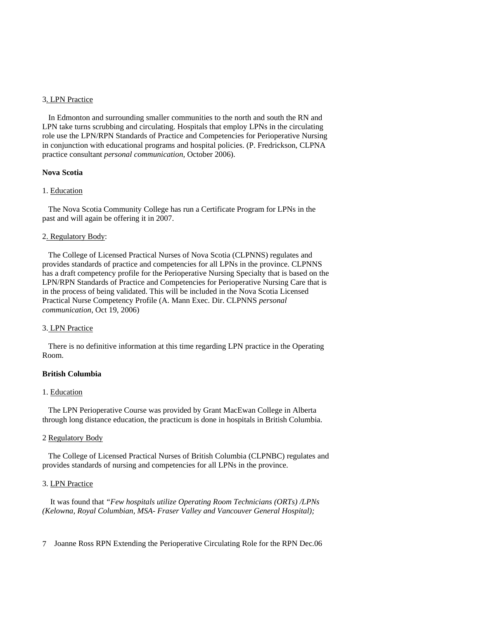#### 3. LPN Practice

 In Edmonton and surrounding smaller communities to the north and south the RN and LPN take turns scrubbing and circulating. Hospitals that employ LPNs in the circulating role use the LPN/RPN Standards of Practice and Competencies for Perioperative Nursing in conjunction with educational programs and hospital policies. (P. Fredrickson, CLPNA practice consultant *personal communication,* October 2006).

# **Nova Scotia**

#### 1. Education

 The Nova Scotia Community College has run a Certificate Program for LPNs in the past and will again be offering it in 2007.

#### 2. Regulatory Body:

 The College of Licensed Practical Nurses of Nova Scotia (CLPNNS) regulates and provides standards of practice and competencies for all LPNs in the province. CLPNNS has a draft competency profile for the Perioperative Nursing Specialty that is based on the LPN/RPN Standards of Practice and Competencies for Perioperative Nursing Care that is in the process of being validated. This will be included in the Nova Scotia Licensed Practical Nurse Competency Profile (A. Mann Exec. Dir. CLPNNS *personal communication*, Oct 19, 2006)

#### 3. LPN Practice

 There is no definitive information at this time regarding LPN practice in the Operating Room.

# **British Columbia**

#### 1. Education

 The LPN Perioperative Course was provided by Grant MacEwan College in Alberta through long distance education, the practicum is done in hospitals in British Columbia.

# 2 Regulatory Body

 The College of Licensed Practical Nurses of British Columbia (CLPNBC) regulates and provides standards of nursing and competencies for all LPNs in the province.

#### 3. LPN Practice

 It was found that *"Few hospitals utilize Operating Room Technicians (ORTs) /LPNs (Kelowna, Royal Columbian, MSA- Fraser Valley and Vancouver General Hospital);*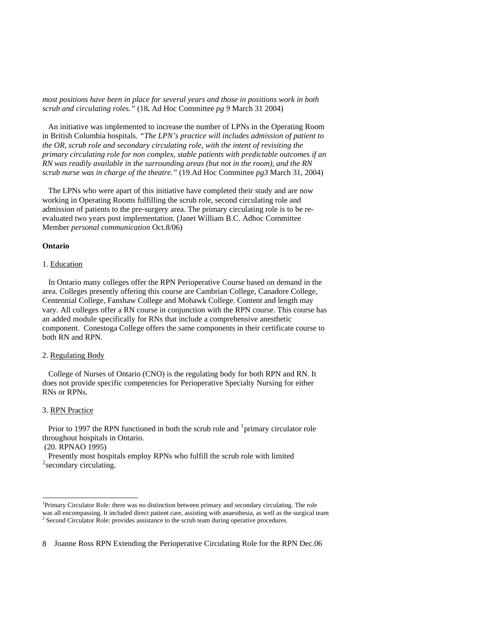*most positions have been in place for several years and those in positions work in both scrub and circulating roles."* (18**.** Ad Hoc Committee *pg 9* March 31 2004)

 An initiative was implemented to increase the number of LPNs in the Operating Room in British Columbia hospitals*. "The LPN's practice will includes admission of patient to the OR, scrub role and secondary circulating role, with the intent of revisiting the primary circulating role for non complex, stable patients with predictable outcomes if an RN was readily available in the surrounding areas (but not in the room), and the RN scrub nurse was in charge of the theatre."* (19.Ad Hoc Committee *pg3* March 31, 2004)

 The LPNs who were apart of this initiative have completed their study and are now working in Operating Rooms fulfilling the scrub role, second circulating role and admission of patients to the pre-surgery area. The primary circulating role is to be reevaluated two years post implementation. (Janet William B.C. Adhoc Committee Member *personal communication* Oct.8/06)

# **Ontario**

#### 1. Education

 In Ontario many colleges offer the RPN Perioperative Course based on demand in the area. Colleges presently offering this course are Cambrian College, Canadore College, Centennial College, Fanshaw College and Mohawk College. Content and length may vary. All colleges offer a RN course in conjunction with the RPN course. This course has an added module specifically for RNs that include a comprehensive anesthetic component. Conestoga College offers the same components in their certificate course to both RN and RPN.

#### 2. Regulating Body

 College of Nurses of Ontario (CNO) is the regulating body for both RPN and RN. It does not provide specific competencies for Perioperative Specialty Nursing for either RNs or RPNs.

#### 3. RPN Practice

Prior to [1](#page-7-0)997 the RPN functioned in both the scrub role and  $1$  primary circulator role throughout hospitals in Ontario.

# (20. RPNAO 1995)

l

 Presently most hospitals employ RPNs who fulfill the scrub role with limited <sup>[2](#page-7-1)</sup> secondary circulating.

<span id="page-7-1"></span><span id="page-7-0"></span><sup>&</sup>lt;sup>1</sup>Primary Circulator Role: there was no distinction between primary and secondary circulating. The role was all encompassing. It included direct patient care, assisting with anaesthesia, as well as the surgical team <sup>2</sup> Second Circulator Role: provides assistance to the scrub team during operative procedures.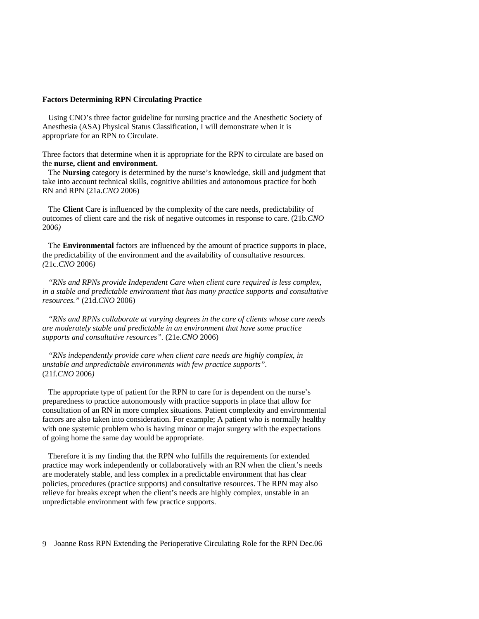# **Factors Determining RPN Circulating Practice**

 Using CNO's three factor guideline for nursing practice and the Anesthetic Society of Anesthesia (ASA) Physical Status Classification, I will demonstrate when it is appropriate for an RPN to Circulate.

Three factors that determine when it is appropriate for the RPN to circulate are based on the **nurse, client and environment.** 

 The **Nursing** category is determined by the nurse's knowledge, skill and judgment that take into account technical skills, cognitive abilities and autonomous practice for both RN and RPN (21a.*CNO* 2006)

 The **Client** Care is influenced by the complexity of the care needs, predictability of outcomes of client care and the risk of negative outcomes in response to care. (21b.*CNO* 2006*)* 

The **Environmental** factors are influenced by the amount of practice supports in place, the predictability of the environment and the availability of consultative resources. *(*21c.*CNO* 2006*)* 

 *"RNs and RPNs provide Independent Care when client care required is less complex, in a stable and predictable environment that has many practice supports and consultative resources."* (21d.*CNO* 2006)

 *"RNs and RPNs collaborate at varying degrees in the care of clients whose care needs are moderately stable and predictable in an environment that have some practice supports and consultative resources".* (21e.*CNO* 2006)

 *"RNs independently provide care when client care needs are highly complex, in unstable and unpredictable environments with few practice supports".*  (21f.*CNO* 2006*)* 

 The appropriate type of patient for the RPN to care for is dependent on the nurse's preparedness to practice autonomously with practice supports in place that allow for consultation of an RN in more complex situations. Patient complexity and environmental factors are also taken into consideration. For example; A patient who is normally healthy with one systemic problem who is having minor or major surgery with the expectations of going home the same day would be appropriate.

 Therefore it is my finding that the RPN who fulfills the requirements for extended practice may work independently or collaboratively with an RN when the client's needs are moderately stable, and less complex in a predictable environment that has clear policies, procedures (practice supports) and consultative resources. The RPN may also relieve for breaks except when the client's needs are highly complex, unstable in an unpredictable environment with few practice supports.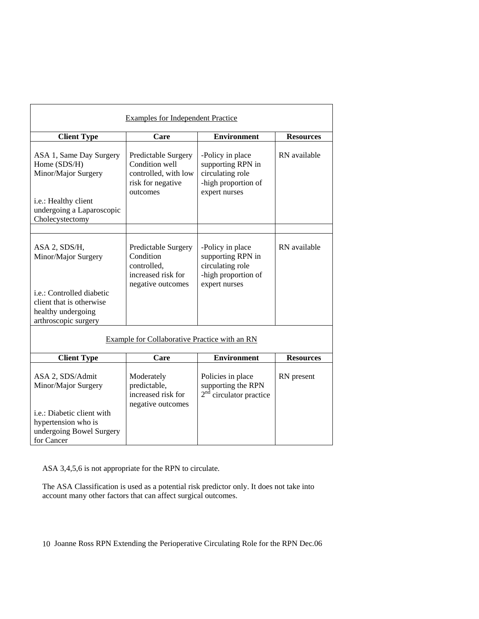| <b>Examples for Independent Practice</b>                                                                                                           |                                                                                                |                                                                                                   |                  |
|----------------------------------------------------------------------------------------------------------------------------------------------------|------------------------------------------------------------------------------------------------|---------------------------------------------------------------------------------------------------|------------------|
| <b>Client Type</b>                                                                                                                                 | Care                                                                                           | <b>Environment</b>                                                                                | <b>Resources</b> |
| ASA 1, Same Day Surgery<br>Home (SDS/H)<br>Minor/Major Surgery<br>i.e.: Healthy client<br>undergoing a Laparoscopic<br>Cholecystectomy             | Predictable Surgery<br>Condition well<br>controlled, with low<br>risk for negative<br>outcomes | -Policy in place<br>supporting RPN in<br>circulating role<br>-high proportion of<br>expert nurses | RN available     |
|                                                                                                                                                    |                                                                                                |                                                                                                   |                  |
| ASA 2, SDS/H,<br>Minor/Major Surgery<br><i>i.e.:</i> Controlled diabetic<br>client that is otherwise<br>healthy undergoing<br>arthroscopic surgery | Predictable Surgery<br>Condition<br>controlled,<br>increased risk for<br>negative outcomes     | -Policy in place<br>supporting RPN in<br>circulating role<br>-high proportion of<br>expert nurses | RN available     |
| Example for Collaborative Practice with an RN                                                                                                      |                                                                                                |                                                                                                   |                  |
| <b>Client Type</b>                                                                                                                                 | Care                                                                                           | <b>Environment</b>                                                                                | <b>Resources</b> |
| ASA 2, SDS/Admit<br>Minor/Major Surgery<br>i.e.: Diabetic client with<br>hypertension who is<br>undergoing Bowel Surgery<br>for Cancer             | Moderately<br>predictable,<br>increased risk for<br>negative outcomes                          | Policies in place<br>supporting the RPN<br>$2nd$ circulator practice                              | RN present       |

ASA 3,4,5,6 is not appropriate for the RPN to circulate.

The ASA Classification is used as a potential risk predictor only. It does not take into account many other factors that can affect surgical outcomes.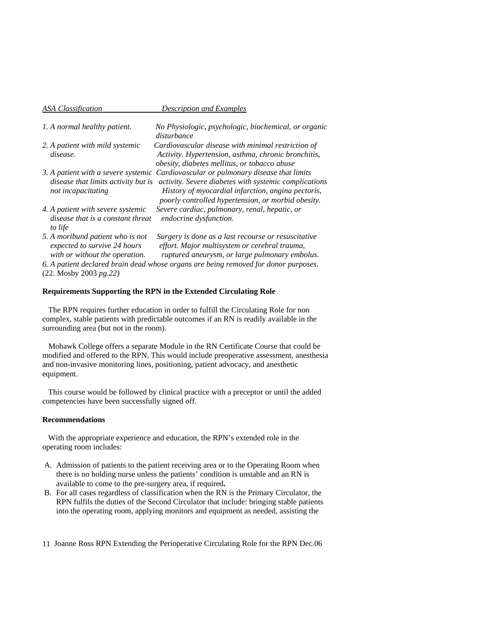| ASA Classification                                                                                 | <b>Description and Examples</b>                                                                                                                                                                                                                          |
|----------------------------------------------------------------------------------------------------|----------------------------------------------------------------------------------------------------------------------------------------------------------------------------------------------------------------------------------------------------------|
| 1. A normal healthy patient.                                                                       | No Physiologic, psychologic, biochemical, or organic<br>disturbance                                                                                                                                                                                      |
| 2. A patient with mild systemic<br>disease.                                                        | Cardiovascular disease with minimal restriction of<br>Activity. Hypertension, asthma, chronic bronchitis,<br>obesity, diabetes mellitus, or tobacco abuse                                                                                                |
| <i>disease that limits activity but is</i><br>not incapacitating                                   | 3. A patient with a severe systemic Cardiovascular or pulmonary disease that limits<br>activity. Severe diabetes with systemic complications<br>History of myocardial infarction, angina pectoris,<br>poorly controlled hypertension, or morbid obesity. |
| 4. A patient with severe systemic<br>disease that is a constant threat<br>to life                  | Severe cardiac, pulmonary, renal, hepatic, or<br>endocrine dysfunction.                                                                                                                                                                                  |
| 5. A moribund patient who is not<br>expected to survive 24 hours<br>with or without the operation. | Surgery is done as a last recourse or resuscitative<br>effort. Major multisystem or cerebral trauma,<br>ruptured aneurysm, or large pulmonary embolus.                                                                                                   |
|                                                                                                    | 6. A patient declared brain dead whose organs are being removed for donor purposes.                                                                                                                                                                      |

(22. Mosby 2003 *pg.22)* 

#### **Requirements Supporting the RPN in the Extended Circulating Role**

 The RPN requires further education in order to fulfill the Circulating Role for non complex, stable patients with predictable outcomes if an RN is readily available in the surrounding area (but not in the room).

 Mohawk College offers a separate Module in the RN Certificate Course that could be modified and offered to the RPN. This would include preoperative assessment, anesthesia and non-invasive monitoring lines, positioning, patient advocacy, and anesthetic equipment.

 This course would be followed by clinical practice with a preceptor or until the added competencies have been successfully signed off.

# **Recommendations**

 With the appropriate experience and education, the RPN's extended role in the operating room includes:

- A. Admission of patients to the patient receiving area or to the Operating Room when there is no holding nurse unless the patients' condition is unstable and an RN is available to come to the pre-surgery area, if required**.**
- B. For all cases regardless of classification when the RN is the Primary Circulator, the RPN fulfils the duties of the Second Circulator that include: bringing stable patients into the operating room, applying monitors and equipment as needed, assisting the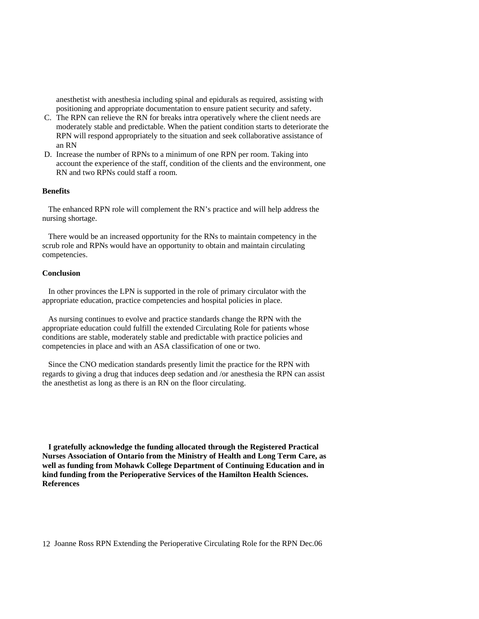anesthetist with anesthesia including spinal and epidurals as required, assisting with positioning and appropriate documentation to ensure patient security and safety.

- C. The RPN can relieve the RN for breaks intra operatively where the client needs are moderately stable and predictable. When the patient condition starts to deteriorate the RPN will respond appropriately to the situation and seek collaborative assistance of an RN
- D. Increase the number of RPNs to a minimum of one RPN per room. Taking into account the experience of the staff, condition of the clients and the environment, one RN and two RPNs could staff a room.

# **Benefits**

 The enhanced RPN role will complement the RN's practice and will help address the nursing shortage.

 There would be an increased opportunity for the RNs to maintain competency in the scrub role and RPNs would have an opportunity to obtain and maintain circulating competencies.

# **Conclusion**

 In other provinces the LPN is supported in the role of primary circulator with the appropriate education, practice competencies and hospital policies in place.

 As nursing continues to evolve and practice standards change the RPN with the appropriate education could fulfill the extended Circulating Role for patients whose conditions are stable, moderately stable and predictable with practice policies and competencies in place and with an ASA classification of one or two.

 Since the CNO medication standards presently limit the practice for the RPN with regards to giving a drug that induces deep sedation and /or anesthesia the RPN can assist the anesthetist as long as there is an RN on the floor circulating.

 **I gratefully acknowledge the funding allocated through the Registered Practical Nurses Association of Ontario from the Ministry of Health and Long Term Care, as well as funding from Mohawk College Department of Continuing Education and in kind funding from the Perioperative Services of the Hamilton Health Sciences. References**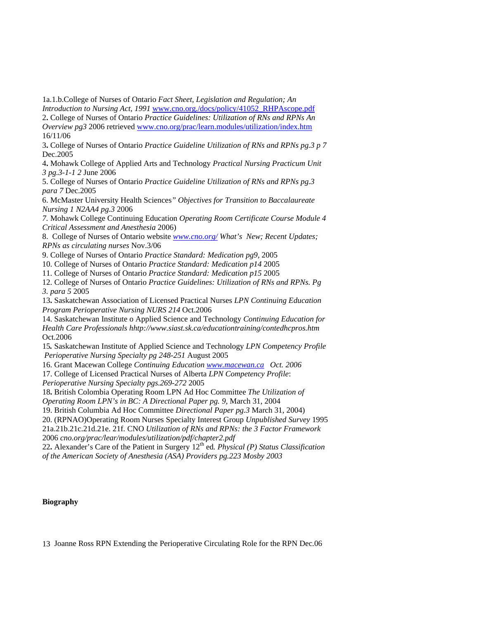1a.1.b.College of Nurses of Ontario *Fact Sheet, Legislation and Regulation; An* 

*Introduction to Nursing Act, 1991* [www.cno.org./docs/policy/41052\\_RHPAscope.pdf](http://www.cno.org./docs/policy/41052_RHPAscope.pdf) 2**.** College of Nurses of Ontario *Practice Guidelines: Utilization of RNs and RPNs An Overview pg3* 2006 retrieved [www.cno.org/prac/learn.modules/utilization/index.htm](http://www.cno.org/prac/learn.modules/utilization/index.htm) 16/11/06

3**.** College of Nurses of Ontario *Practice Guideline Utilization of RNs and RPNs pg.3 p 7* Dec.2005

4**.** Mohawk College of Applied Arts and Technology *Practical Nursing Practicum Unit 3 pg.3-1-1 2* June 2006

5. College of Nurses of Ontario *Practice Guideline Utilization of RNs and RPNs pg.3 para 7* Dec.2005

6. McMaster University Health Sciences*" Objectives for Transition to Baccalaureate Nursing 1 N2AA4 pg.3* 2006

*7.* Mohawk College Continuing Education *Operating Room Certificate Course Module 4 Critical Assessment and Anesthesia* 2006)

8. College of Nurses of Ontario website *[www.cno.org/](http://www.cno.org/) What's New; Recent Updates; RPNs as circulating nurses* Nov.3/06

9. College of Nurses of Ontario *Practice Standard: Medication pg9,* 2005

10. College of Nurses of Ontario *Practice Standard: Medication p14* 2005

11. College of Nurses of Ontario *Practice Standard: Medication p15* 2005

12. College of Nurses of Ontario *Practice Guidelines: Utilization of RNs and RPNs. Pg 3. para 5* 2005

13**.** Saskatchewan Association of Licensed Practical Nurses *LPN Continuing Education Program Perioperative Nursing NURS 214* Oct.2006

14. Saskatchewan Institute o Applied Science and Technology *Continuing Education for Health Care Professionals hhtp://www.siast.sk.ca/educationtraining/contedhcpros.htm* Oct.2006

 15*.* Saskatchewan Institute of Applied Science and Technology *LPN Competency Profile*  *Perioperative Nursing Specialty pg 248-251* August 2005

16. Grant Macewan College *Continuing Education [www.macewan.ca](http://www.macewan.ca/) Oct. 2006* 

17. College of Licensed Practical Nurses of Alberta *LPN Competency Profile*:

*Perioperative Nursing Specialty pgs.269-272* 2005

18**.** British Colombia Operating Room LPN Ad Hoc Committee *The Utilization of Operating Room LPN's in BC: A Directional Paper pg. 9,* March 31, 2004

19. British Columbia Ad Hoc Committee *Directional Paper pg.3* March 31, 2004)

20. (RPNAO)Operating Room Nurses Specialty Interest Group *Unpublished Survey* 1995

21a.21b.21c.21d.21e. 21f. CNO *Utilization of RNs and RPNs: the 3 Factor Framework* 2006 *cno.org/prac/lear/modules/utilization/pdf/chapter2.pdf* 

22. Alexander's Care of the Patient in Surgery 12<sup>th</sup> ed. *Physical (P) Status Classification of the American Society of Anesthesia (ASA) Providers pg.223 Mosby 2003* 

# **Biography**